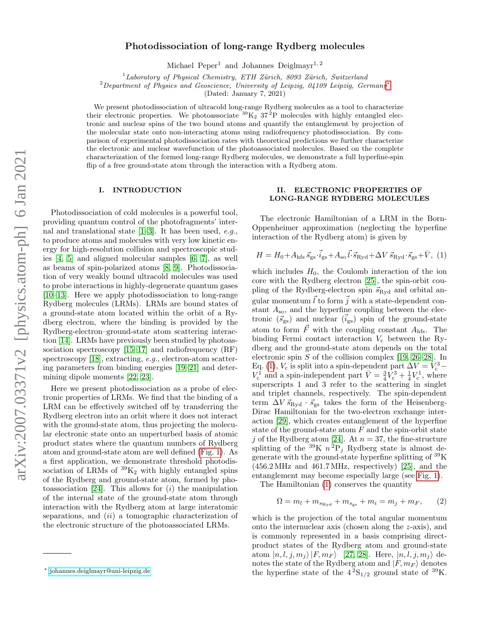# Photodissociation of long-range Rydberg molecules

Michael Peper<sup>1</sup> and Johannes Deiglmayr<sup>1, 2</sup>

 $1$ Laboratory of Physical Chemistry, ETH Zürich, 8093 Zürich, Switzerland

<sup>2</sup>Department of Physics and Geoscience, University of Leipzig, 04109 Leipzig, Germany<sup>\*</sup>

(Dated: January 7, 2021)

We present photodissociation of ultracold long-range Rydberg molecules as a tool to characterize their electronic properties. We photoassociate  ${}^{39}K_2$  37<sup>2</sup>P molecules with highly entangled electronic and nuclear spins of the two bound atoms and quantify the entanglement by projection of the molecular state onto non-interacting atoms using radiofrequency photodissociation. By comparison of experimental photodissociation rates with theoretical predictions we further characterize the electronic and nuclear wavefunction of the photoassociated molecules. Based on the complete characterization of the formed long-range Rydberg molecules, we demonstrate a full hyperfine-spin flip of a free ground-state atom through the interaction with a Rydberg atom.

### I. INTRODUCTION

Photodissociation of cold molecules is a powerful tool, providing quantum control of the photofragments' internal and translational state [\[1](#page-6-0)[–3\]](#page-6-1). It has been used, e.g., to produce atoms and molecules with very low kinetic energy for high-resolution collision and spectroscopic studies [\[4,](#page-6-2) [5\]](#page-6-3) and aligned molecular samples [\[6,](#page-6-4) [7\]](#page-6-5), as well as beams of spin-polarized atoms [\[8,](#page-6-6) [9\]](#page-6-7). Photodissociation of very weakly bound ultracold molecules was used to probe interactions in highly-degenerate quantum gases [\[10–](#page-7-0)[13\]](#page-7-1). Here we apply photodissociation to long-range Rydberg molecules (LRMs). LRMs are bound states of a ground-state atom located within the orbit of a Rydberg electron, where the binding is provided by the Rydberg-electron–ground-state atom scattering interaction [\[14\]](#page-7-2). LRMs have previously been studied by photoassociation spectroscopy [\[15](#page-7-3)[–17\]](#page-7-4) and radiofrequency (RF) spectroscopy [\[18\]](#page-7-5), extracting, e.g., electron-atom scattering parameters from binding energies [\[19–](#page-7-6)[21\]](#page-7-7) and determining dipole moments [\[22,](#page-7-8) [23\]](#page-7-9).

Here we present photodissociation as a probe of electronic properties of LRMs. We find that the binding of a LRM can be effectively switched off by transferring the Rydberg electron into an orbit where it does not interact with the ground-state atom, thus projecting the molecular electronic state onto an unperturbed basis of atomic product states where the quantum numbers of Rydberg atom and ground-state atom are well defined [\(Fig. 1\)](#page-1-0). As a first application, we demonstrate threshold photodissociation of LRMs of  ${}^{39}K_2$  with highly entangled spins of the Rydberg and ground-state atom, formed by pho-toassociation [\[24\]](#page-7-10). This allows for  $(i)$  the manipulation of the internal state of the ground-state atom through interaction with the Rydberg atom at large interatomic separations, and *(ii)* a tomographic characterization of the electronic structure of the photoassociated LRMs.

### <span id="page-0-1"></span>II. ELECTRONIC PROPERTIES OF LONG-RANGE RYDBERG MOLECULES

The electronic Hamiltonian of a LRM in the Born-Oppenheimer approximation (neglecting the hyperfine interaction of the Rydberg atom) is given by

$$
H = H_0 + A_{\text{hfs}} \vec{s}_{\text{gs}} \cdot \vec{i}_{\text{gs}} + A_{\text{so}} \vec{l} \cdot \vec{s}_{\text{Ryd}} + \Delta V \vec{s}_{\text{Ryd}} \cdot \vec{s}_{\text{gs}} + \bar{V}, \tag{1}
$$

which includes  $H_0$ , the Coulomb interaction of the ion core with the Rydberg electron [\[25\]](#page-7-11), the spin-orbit coupling of the Rydberg-electron spin  $\vec{s}_{\text{Ryd}}$  and orbital angular momentum  $\vec{l}$  to form  $\vec{j}$  with a state-dependent constant  $A_{\rm so}$ , and the hyperfine coupling between the electronic  $(\vec{s}_{gs})$  and nuclear  $(\vec{i}_{gs})$  spin of the ground-state atom to form  $\vec{F}$  with the coupling constant  $A_{\text{hfs}}$ . The binding Fermi contact interaction  $V_c$  between the Rydberg and the ground-state atom depends on the total electronic spin  $S$  of the collision complex [\[19,](#page-7-6) [26–](#page-7-12)[28\]](#page-7-13). In Eq. [\(1\)](#page-0-1),  $V_c$  is split into a spin-dependent part  $\Delta V = V_c^3 V_{\rm c}^{\rm 1}$  and a spin-independent part  $\bar{V} = \frac{3}{4}V_{\rm c}^3 + \frac{1}{4}V_{\rm c}^1$ , where superscripts 1 and 3 refer to the scattering in singlet and triplet channels, respectively. The spin-dependent term  $\Delta V \vec{s}_{\text{Ryd}} \cdot \vec{s}_{\text{gs}}$  takes the form of the Heisenberg-Dirac Hamiltonian for the two-electron exchange interaction [\[29\]](#page-7-14), which creates entanglement of the hyperfine state of the ground-state atom  $F$  and the spin-orbit state j of the Rydberg atom [\[24\]](#page-7-10). At  $n = 37$ , the fine-structure splitting of the <sup>39</sup>K  $n^2P_j$  Rydberg state is almost degenerate with the ground-state hyperfine splitting of  ${}^{39}$ K (456.2 MHz and 461.7 MHz, respectively) [\[25\]](#page-7-11), and the entanglement may become especially large (see [Fig. 1\)](#page-1-0).

The Hamiltonian [\(1\)](#page-0-1) conserves the quantity

$$
\Omega = m_l + m_{s_{\text{Ryd}}} + m_{s_{\text{gs}}} + m_i = m_j + m_F, \qquad (2)
$$

which is the projection of the total angular momentum onto the internuclear axis (chosen along the z-axis), and is commonly represented in a basis comprising directproduct states of the Rydberg atom and ground-state atom  $|n, l, j, m_j\rangle |F, m_F\rangle$  [\[27,](#page-7-15) [28\]](#page-7-13). Here,  $|n, l, j, m_j\rangle$  denotes the state of the Rydberg atom and  $|F, m_F\rangle$  denotes the hyperfine state of the  $4^{2}S_{1/2}$  ground state of <sup>39</sup>K.

<span id="page-0-0"></span><sup>∗</sup> [johannes.deiglmayr@uni-leipzig.de](mailto:johannes.deiglmayr@uni-leipzig.de)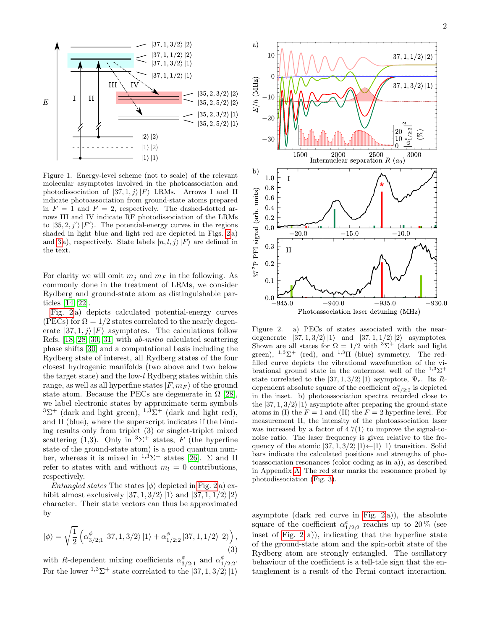

<span id="page-1-0"></span>Figure 1. Energy-level scheme (not to scale) of the relevant molecular asymptotes involved in the photoassociation and photodissociation of  $|37, 1, j\rangle |F\rangle$  LRMs. Arrows I and II indicate photoassociation from ground-state atoms prepared in  $F = 1$  and  $F = 2$ , respectively. The dashed-dotted arrows III and IV indicate RF photodissociation of the LRMs to  $|35, 2, j'\rangle |F'\rangle$ . The potential-energy curves in the regions shaded in light blue and light red are depicted in Figs. [2](#page-1-1) a) and [3](#page-2-0) a), respectively. State labels  $|n, l, j\rangle |F\rangle$  are defined in the text.

For clarity we will omit  $m_i$  and  $m_F$  in the following. As commonly done in the treatment of LRMs, we consider Rydberg and ground-state atom as distinguishable particles [\[14,](#page-7-2) [22\]](#page-7-8).

[Fig. 2](#page-1-1) a) depicts calculated potential-energy curves (PECs) for  $\Omega = 1/2$  states correlated to the nearly degenerate  $|37, 1, j\rangle |F\rangle$  asymptotes. The calculations follow Refs. [\[18,](#page-7-5) [28,](#page-7-13) [30,](#page-7-16) [31\]](#page-7-17) with ab-initio calculated scattering phase shifts [\[30\]](#page-7-16) and a computational basis including the Rydberg state of interest, all Rydberg states of the four closest hydrogenic manifolds (two above and two below the target state) and the low-l Rydberg states within this range, as well as all hyperfine states  $|F, m_F\rangle$  of the ground state atom. Because the PECs are degenerate in  $\Omega$  [\[28\]](#page-7-13), we label electronic states by approximate term symbols <sup>3</sup> $\Sigma^+$  (dark and light green), <sup>1,3</sup> $\Sigma^+$  (dark and light red), and  $\Pi$  (blue), where the superscript indicates if the binding results only from triplet (3) or singlet-triplet mixed scattering (1,3). Only in  ${}^{3}\Sigma^{+}$  states, F (the hyperfine state of the ground-state atom) is a good quantum number, whereas it is mixed in  $1.3\Sigma^+$  states [\[26\]](#page-7-12).  $\Sigma$  and  $\Pi$ refer to states with and without  $m_l = 0$  contributions, respectively.

*Entangled states* The states  $|\phi\rangle$  depicted in [Fig. 2](#page-1-1) a) exhibit almost exclusively  $|37, 1, 3/2\rangle |1\rangle$  and  $|37, 1, 1/2\rangle |2\rangle$ character. Their state vectors can thus be approximated by

<span id="page-1-2"></span>
$$
|\phi\rangle = \sqrt{\frac{1}{2}} \left( \alpha_{3/2;1}^{\phi} |37,1,3/2\rangle |1\rangle + \alpha_{1/2;2}^{\phi} |37,1,1/2\rangle |2\rangle \right),\tag{3}
$$

with R-dependent mixing coefficients  $\alpha_{3/2;1}^{\phi}$  and  $\alpha_{1/2;2}^{\phi}$ . For the lower  $1.3\Sigma^+$  state correlated to the  $|37, 1, 3/2\rangle |1\rangle$ 



<span id="page-1-1"></span>Figure 2. a) PECs of states associated with the neardegenerate  $|37, 1, 3/2\rangle |1\rangle$  and  $|37, 1, 1/2\rangle |2\rangle$  asymptotes. Shown are all states for  $\Omega = 1/2$  with  ${}^{3}\Sigma^{+}$  (dark and light green),  $1.3\Sigma^+$  (red), and  $1.3\Pi$  (blue) symmetry. The redfilled curve depicts the vibrational wavefunction of the vibrational ground state in the outermost well of the  $1.3\Sigma^+$ state correlated to the  $|37, 1, 3/2\rangle |1\rangle$  asymptote,  $\Psi_e$ . Its Rdependent absolute square of the coefficient  $\alpha_{1/2;2}^e$  is depicted in the inset. b) photoassociation spectra recorded close to the  $|37, 1, 3/2\rangle |1\rangle$  asymptote after preparing the ground-state atoms in (I) the  $F = 1$  and (II) the  $F = 2$  hyperfine level. For measurement II, the intensity of the photoassociation laser was increased by a factor of  $4.7(1)$  to improve the signal-tonoise ratio. The laser frequency is given relative to the frequency of the atomic  $|37, 1, 3/2\rangle |1\rangle \leftarrow |1\rangle |1\rangle$  transition. Solid bars indicate the calculated positions and strengths of photoassociation resonances (color coding as in a)), as described in Appendix [A.](#page-5-0) The red star marks the resonance probed by photodissociation [\(Fig. 3\)](#page-2-0).

asymptote (dark red curve in [Fig. 2](#page-1-1) a)), the absolute square of the coefficient  $\alpha_{1/2;2}^e$  reaches up to 20 % (see inset of [Fig. 2](#page-1-1) a)), indicating that the hyperfine state of the ground-state atom and the spin-orbit state of the Rydberg atom are strongly entangled. The oscillatory behaviour of the coefficient is a tell-tale sign that the entanglement is a result of the Fermi contact interaction.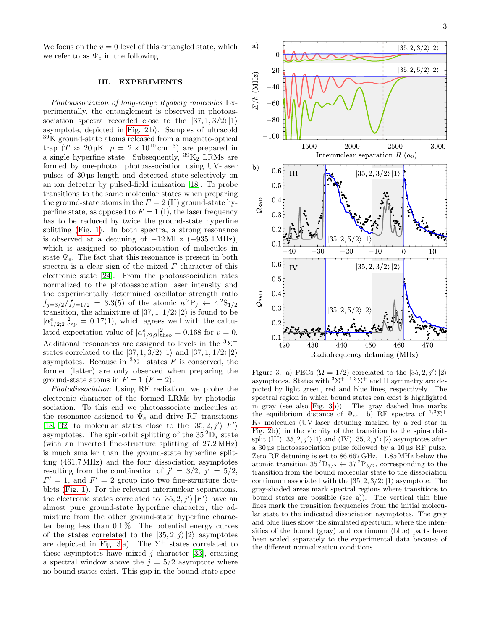We focus on the  $v = 0$  level of this entangled state, which we refer to as  $\Psi_e$  in the following.

### III. EXPERIMENTS

Photoassociation of long-range Rydberg molecules Experimentally, the entanglement is observed in photoassociation spectra recorded close to the  $|37, 1, 3/2\rangle |1\rangle$ asymptote, depicted in [Fig. 2](#page-1-1) b). Samples of ultracold <sup>39</sup>K ground-state atoms released from a magneto-optical trap  $(T \approx 20 \,\text{µK}, \ \rho = 2 \times 10^{10} \text{ cm}^{-3})$  are prepared in a single hyperfine state. Subsequently,  ${}^{39}K_2$  LRMs are formed by one-photon photoassociation using UV-laser pulses of 30 µs length and detected state-selectively on an ion detector by pulsed-field ionization [\[18\]](#page-7-5). To probe transitions to the same molecular states when preparing the ground-state atoms in the  $F = 2 \text{ (II)}$  ground-state hyperfine state, as opposed to  $F = 1$  (I), the laser frequency has to be reduced by twice the ground-state hyperfine splitting [\(Fig. 1\)](#page-1-0). In both spectra, a strong resonance is observed at a detuning of  $-12 \text{ MHz } (-935.4 \text{ MHz}),$ which is assigned to photoassociation of molecules in state  $\Psi_e$ . The fact that this resonance is present in both spectra is a clear sign of the mixed  $F$  character of this electronic state [\[24\]](#page-7-10). From the photoassociation rates normalized to the photoassociation laser intensity and the experimentally determined oscillator strength ratio  $f_{j=3/2}/f_{j=1/2}$  = 3.3(5) of the atomic  $n^2P_j \leftarrow 4^2S_{1/2}$ transition, the admixture of  $|37, 1, 1/2\rangle |2\rangle$  is found to be  $|\alpha^e_{1/2;2}|^2_{\exp} = 0.17(1)$ , which agrees well with the calculated expectation value of  $|\alpha^e_{1/2;2}|^2_{\text{theo}} = 0.168$  for  $v = 0$ . Additional resonances are assigned to levels in the  ${}^{3}\Sigma^{+}$ states correlated to the  $|37, 1, 3/2\rangle |1\rangle$  and  $|37, 1, 1/2\rangle |2\rangle$ asymptotes. Because in  ${}^{3}\Sigma^{+}$  states F is conserved, the former (latter) are only observed when preparing the ground-state atoms in  $F = 1$   $(F = 2)$ .

Photodissociation Using RF radiation, we probe the electronic character of the formed LRMs by photodissociation. To this end we photoassociate molecules at the resonance assigned to  $\Psi_e$  and drive RF transitions [\[18,](#page-7-5) [32\]](#page-7-18) to molecular states close to the  $|35, 2, j'\rangle |F'\rangle$ asymptotes. The spin-orbit splitting of the  $35^2D_i$  state (with an inverted fine-structure splitting of 27.2 MHz) is much smaller than the ground-state hyperfine splitting (461.7 MHz) and the four dissociation asymptotes resulting from the combination of  $j' = 3/2, j' = 5/2$ ,  $F' = 1$ , and  $F' = 2$  group into two fine-structure doublets [\(Fig. 1\)](#page-1-0). For the relevant internuclear separations, the electronic states correlated to  $|35, 2, j'\rangle |F'\rangle$  have an almost pure ground-state hyperfine character, the admixture from the other ground-state hyperfine character being less than 0.1 %. The potential energy curves of the states correlated to the  $|35, 2, i\rangle |2\rangle$  asymptotes are depicted in [Fig. 3](#page-2-0)a). The  $\Sigma^+$  states correlated to these asymptotes have mixed  $j$  character [\[33\]](#page-7-19), creating a spectral window above the  $j = 5/2$  asymptote where no bound states exist. This gap in the bound-state spec-



<span id="page-2-0"></span>Figure 3. a) PECs  $(\Omega = 1/2)$  correlated to the  $|35, 2, j'\rangle |2\rangle$ asymptotes. States with  ${}^{3}\Sigma^{+}$ ,  ${}^{1,3}\Sigma^{+}$  and  $\Pi$  symmetry are depicted by light green, red and blue lines, respectively. The spectral region in which bound states can exist is highlighted in gray (see also [Fig. 3b](#page-2-0))). The gray dashed line marks the equilibrium distance of  $\Psi_e$ . b) RF spectra of  $1,3\Sigma^+$ K<sup>2</sup> molecules (UV-laser detuning marked by a red star in [Fig. 2b](#page-1-1))) in the vicinity of the transition to the spin-orbitsplit (III)  $|35, 2, j'\rangle |1\rangle$  and (IV)  $|35, 2, j'\rangle |2\rangle$  asymptotes after a 30 µs photoassociation pulse followed by a 10 µs RF pulse. Zero RF detuning is set to 86.667 GHz, 11.85 MHz below the atomic transition  $35^{2}D_{3/2} \leftarrow 37^{2}P_{3/2}$ , corresponding to the transition from the bound molecular state to the dissociation continuum associated with the  $|35, 2, 3/2\rangle |1\rangle$  asymptote. The gray-shaded areas mark spectral regions where transitions to bound states are possible (see a)). The vertical thin blue lines mark the transition frequencies from the initial molecular state to the indicated dissociation asymptotes. The gray and blue lines show the simulated spectrum, where the intensities of the bound (gray) and continuum (blue) parts have been scaled separately to the experimental data because of the different normalization conditions.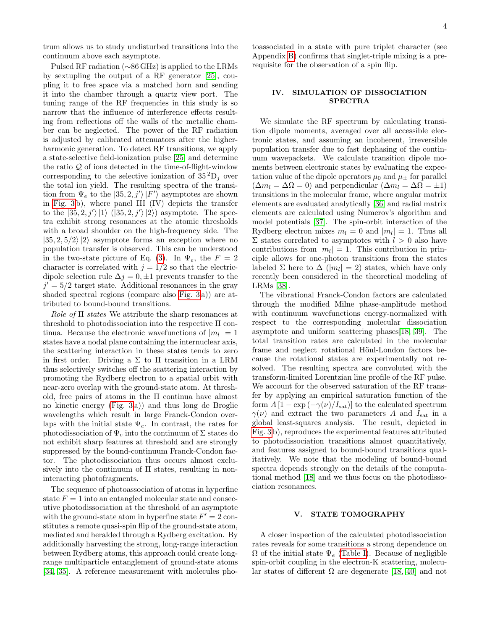trum allows us to study undisturbed transitions into the continuum above each asymptote.

Pulsed RF radiation (∼86 GHz) is applied to the LRMs by sextupling the output of a RF generator [\[25\]](#page-7-11), coupling it to free space via a matched horn and sending it into the chamber through a quartz view port. The tuning range of the RF frequencies in this study is so narrow that the influence of interference effects resulting from reflections off the walls of the metallic chamber can be neglected. The power of the RF radiation is adjusted by calibrated attenuators after the higherharmonic generation. To detect RF transitions, we apply a state-selective field-ionization pulse [\[25\]](#page-7-11) and determine the ratio  $Q$  of ions detected in the time-of-flight-window corresponding to the selective ionization of  $35^2D_i$  over the total ion yield. The resulting spectra of the transition from  $\Psi_e$  to the  $|35, 2, j'\rangle |F'\rangle$  asymptotes are shown in [Fig. 3](#page-2-0) b), where panel III (IV) depicts the transfer to the  $|35, 2, j'\rangle |1\rangle$   $(|35, 2, j'\rangle |2\rangle)$  asymptote. The spectra exhibit strong resonances at the atomic thresholds with a broad shoulder on the high-frequency side. The  $|35, 2, 5/2\rangle |2\rangle$  asymptote forms an exception where no population transfer is observed. This can be understood in the two-state picture of Eq. [\(3\)](#page-1-2). In  $\Psi_e$ , the  $F = 2$ character is correlated with  $j = 1/2$  so that the electricdipole selection rule  $\Delta j = 0, \pm 1$  prevents transfer to the  $j' = 5/2$  target state. Additional resonances in the gray shaded spectral regions (compare also [Fig. 3](#page-2-0) a)) are attributed to bound-bound transitions.

Role of  $\Pi$  states We attribute the sharp resonances at threshold to photodissociation into the respective Π continua. Because the electronic wavefunctions of  $|m_l|=1$ states have a nodal plane containing the internuclear axis, the scattering interaction in these states tends to zero in first order. Driving a  $\Sigma$  to  $\Pi$  transition in a LRM thus selectively switches off the scattering interaction by promoting the Rydberg electron to a spatial orbit with near-zero overlap with the ground-state atom. At threshold, free pairs of atoms in the Π continua have almost no kinetic energy [\(Fig. 3](#page-2-0) a)) and thus long de Broglie wavelengths which result in large Franck-Condon overlaps with the initial state  $\Psi_e$ . In contrast, the rates for photodissociation of  $\Psi_e$  into the continuum of  $\Sigma$  states do not exhibit sharp features at threshold and are strongly suppressed by the bound-continuum Franck-Condon factor. The photodissociation thus occurs almost exclusively into the continuum of Π states, resulting in noninteracting photofragments.

The sequence of photoassociation of atoms in hyperfine state  $F = 1$  into an entangled molecular state and consecutive photodissociation at the threshold of an asymptote with the ground-state atom in hyperfine state  $F' = 2$  constitutes a remote quasi-spin flip of the ground-state atom, mediated and heralded through a Rydberg excitation. By additionally harvesting the strong, long-range interaction between Rydberg atoms, this approach could create longrange multiparticle entanglement of ground-state atoms [\[34,](#page-7-20) [35\]](#page-7-21). A reference measurement with molecules photoassociated in a state with pure triplet character (see Appendix [B\)](#page-5-1) confirms that singlet-triple mixing is a prerequisite for the observation of a spin flip.

# IV. SIMULATION OF DISSOCIATION SPECTRA

We simulate the RF spectrum by calculating transition dipole moments, averaged over all accessible electronic states, and assuming an incoherent, irreversible population transfer due to fast dephasing of the continuum wavepackets. We calculate transition dipole moments between electronic states by evaluating the expectation value of the dipole operators  $\mu_0$  and  $\mu_+$  for parallel  $(\Delta m_l = \Delta \Omega = 0)$  and perpendicular  $(\Delta m_l = \Delta \Omega = \pm 1)$ transitions in the molecular frame, where angular matrix elements are evaluated analytically [\[36\]](#page-7-22) and radial matrix elements are calculated using Numerov's algorithm and model potentials [\[37\]](#page-7-23). The spin-orbit interaction of the Rydberg electron mixes  $m_l = 0$  and  $|m_l| = 1$ . Thus all  $\Sigma$  states correlated to asymptotes with  $l > 0$  also have contributions from  $|m_l| = 1$ . This contribution in principle allows for one-photon transitions from the states labeled  $\Sigma$  here to  $\Delta$  (|m<sub>l</sub>| = 2) states, which have only recently been considered in the theoretical modeling of LRMs [\[38\]](#page-7-24).

The vibrational Franck-Condon factors are calculated through the modified Milne phase-amplitude method with continuum wavefunctions energy-normalized with respect to the corresponding molecular dissociation asymptote and uniform scattering phases[\[18,](#page-7-5) [39\]](#page-7-25). The total transition rates are calculated in the molecular frame and neglect rotational Hönl-London factors because the rotational states are experimentally not resolved. The resulting spectra are convoluted with the transform-limited Lorentzian line profile of the RF pulse. We account for the observed saturation of the RF transfer by applying an empirical saturation function of the form  $A [1 - \exp(-\gamma(\nu)/I_{\text{sat}})]$  to the calculated spectrum  $\gamma(\nu)$  and extract the two parameters A and I<sub>sat</sub> in a global least-squares analysis. The result, depicted in [Fig. 3](#page-2-0) b), reproduces the experimental features attributed to photodissociation transitions almost quantitatively, and features assigned to bound-bound transitions qualitatively. We note that the modeling of bound-bound spectra depends strongly on the details of the computational method [\[18\]](#page-7-5) and we thus focus on the photodissociation resonances.

#### V. STATE TOMOGRAPHY

A closer inspection of the calculated photodissociation rates reveals for some transitions a strong dependence on  $\Omega$  of the initial state  $\Psi_e$  [\(Table I\)](#page-4-0). Because of negligible spin-orbit coupling in the electron-K scattering, molecular states of different  $\Omega$  are degenerate [\[18,](#page-7-5) [40\]](#page-7-26) and not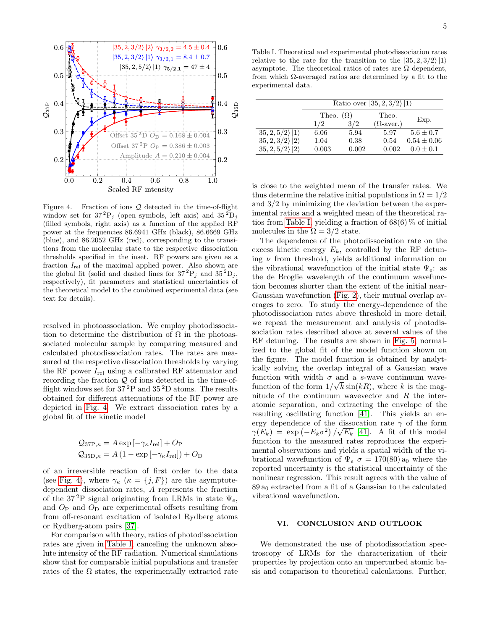

<span id="page-4-1"></span>Figure 4. Fraction of ions Q detected in the time-of-flight window set for  $37^{2}P_{i}$  (open symbols, left axis) and  $35^{2}D_{i}$ (filled symbols, right axis) as a function of the applied RF power at the frequencies 86.6941 GHz (black), 86.6669 GHz (blue), and 86.2052 GHz (red), corresponding to the transitions from the molecular state to the respective dissociation thresholds specified in the inset. RF powers are given as a fraction  $I_{rel}$  of the maximal applied power. Also shown are the global fit (solid and dashed lines for  $37^2P_j$  and  $35^2D_j$ , respectively), fit parameters and statistical uncertainties of the theoretical model to the combined experimental data (see text for details).

resolved in photoassociation. We employ photodissociation to determine the distribution of  $\Omega$  in the photoassociated molecular sample by comparing measured and calculated photodissociation rates. The rates are measured at the respective dissociation thresholds by varying the RF power  $I_{rel}$  using a calibrated RF attenuator and recording the fraction  $Q$  of ions detected in the time-offlight windows set for  $37<sup>2</sup>P$  and  $35<sup>2</sup>D$  atoms. The results obtained for different attenuations of the RF power are depicted in [Fig. 4.](#page-4-1) We extract dissociation rates by a global fit of the kinetic model

$$
Q_{37P,\kappa} = A \exp \left[ -\gamma_{\kappa} I_{\text{rel}} \right] + O_{P}
$$
  

$$
Q_{35D,\kappa} = A \left( 1 - \exp \left[ -\gamma_{\kappa} I_{\text{rel}} \right] \right) + O_{D}
$$

of an irreversible reaction of first order to the data (see [Fig. 4\)](#page-4-1), where  $\gamma_{\kappa}$  ( $\kappa = \{j, F\}$ ) are the asymptotedependent dissociation rates, A represents the fraction of the 37<sup>2</sup>P signal originating from LRMs in state  $\Psi_e$ , and  $O_P$  and  $O_D$  are experimental offsets resulting from from off-resonant excitation of isolated Rydberg atoms or Rydberg-atom pairs [\[37\]](#page-7-23).

For comparison with theory, ratios of photodissociation rates are given in [Table I,](#page-4-0) canceling the unknown absolute intensity of the RF radiation. Numerical simulations show that for comparable initial populations and transfer rates of the  $\Omega$  states, the experimentally extracted rate

<span id="page-4-0"></span>Table I. Theoretical and experimental photodissociation rates relative to the rate for the transition to the  $|35, 2, 3/2\rangle |1\rangle$ asymptote. The theoretical ratios of rates are  $\Omega$  dependent, from which  $\Omega$ -averaged ratios are determined by a fit to the experimental data.

|                                 | Ratio over $ 35, 2, 3/2\rangle  1\rangle$ |       |                   |                 |  |  |  |
|---------------------------------|-------------------------------------------|-------|-------------------|-----------------|--|--|--|
|                                 | Theo. $(\Omega)$                          |       | Theo.             |                 |  |  |  |
|                                 | 1/2                                       | 3/2   | $(\Omega$ -aver.) | Exp.            |  |  |  |
| $ 35, 2, 5/2\rangle  1\rangle$  | 6.06                                      | 5.94  | 5.97              | $5.6 \pm 0.7$   |  |  |  |
| $ 35, 2, 3/2\rangle 2\rangle$   | 1.04                                      | 0.38  | 0.54              | $0.54 \pm 0.06$ |  |  |  |
| $ 35, 2, 5/2 \rangle  2\rangle$ | 0.003                                     | 0.002 | 0.002             | $0.0 \pm 0.1$   |  |  |  |

is close to the weighted mean of the transfer rates. We thus determine the relative initial populations in  $\Omega = 1/2$ and 3/2 by minimizing the deviation between the experimental ratios and a weighted mean of the theoretical ra-tios from [Table I,](#page-4-0) yielding a fraction of  $68(6)\%$  of initial molecules in the  $\Omega = 3/2$  state.

The dependence of the photodissociation rate on the excess kinetic energy  $E_k$ , controlled by the RF detuning  $\nu$  from threshold, yields additional information on the vibrational wavefunction of the initial state  $\Psi_e$ : as the de Broglie wavelength of the continuum wavefunction becomes shorter than the extent of the initial near-Gaussian wavefunction [\(Fig. 2\)](#page-1-1), their mutual overlap averages to zero. To study the energy-dependence of the photodissociation rates above threshold in more detail, we repeat the measurement and analysis of photodissociation rates described above at several values of the RF detuning. The results are shown in [Fig. 5,](#page-5-2) normalized to the global fit of the model function shown on the figure. The model function is obtained by analytically solving the overlap integral of a Gaussian wave function with width  $\sigma$  and a s-wave continuum wavefunction of the form  $1/\sqrt{k}\sin(kR)$ , where k is the magnitude of the continuum wavevector and  $R$  the interatomic separation, and extracting the envelope of the resulting oscillating function [\[41\]](#page-7-27). This yields an energy dependence of the dissocation rate  $\gamma$  of the form  $\gamma(E_k) = \exp(-E_k \sigma^2) / \sqrt{E_k}$  [\[41\]](#page-7-27). A fit of this model function to the measured rates reproduces the experimental observations and yields a spatial width of the vibrational wavefunction of  $\Psi_e \sigma = 170(80) a_0$  where the reported uncertainty is the statistical uncertainty of the nonlinear regression. This result agrees with the value of  $89a<sub>0</sub>$  extracted from a fit of a Gaussian to the calculated vibrational wavefunction.

## VI. CONCLUSION AND OUTLOOK

We demonstrated the use of photodissociation spectroscopy of LRMs for the characterization of their properties by projection onto an unperturbed atomic basis and comparison to theoretical calculations. Further,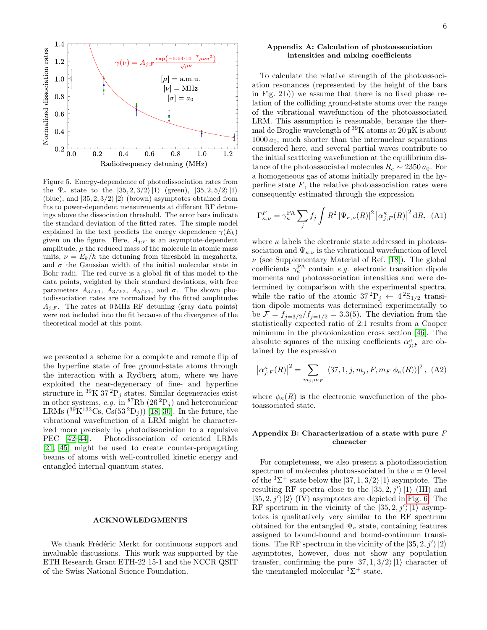

<span id="page-5-2"></span>Figure 5. Energy-dependence of photodissociation rates from the  $\Psi_e$  state to the  $|35, 2, 3/2\rangle |1\rangle$  (green),  $|35, 2, 5/2\rangle |1\rangle$ (blue), and  $|35, 2, 3/2\rangle |2\rangle$  (brown) asymptotes obtained from fits to power-dependent measurements at different RF detunings above the dissociation threshold. The error bars indicate the standard deviation of the fitted rates. The simple model explained in the text predicts the energy dependence  $\gamma(E_k)$ given on the figure. Here,  $A_{j;F}$  is an asymptote-dependent amplitude,  $\mu$  the reduced mass of the molecule in atomic mass units,  $\nu = E_k/h$  the detuning from threshold in megahertz, and  $\sigma$  the Gaussian width of the initial molecular state in Bohr radii. The red curve is a global fit of this model to the data points, weighted by their standard deviations, with free parameters  $A_{3/2;1}$ ,  $A_{3/2;2}$ ,  $A_{5/2;1}$ , and  $\sigma$ . The shown photodissociation rates are normalized by the fitted amplitudes  $A_{i;F}$ . The rates at 0 MHz RF detuning (gray data points) were not included into the fit because of the divergence of the theoretical model at this point.

we presented a scheme for a complete and remote flip of the hyperfine state of free ground-state atoms through the interaction with a Rydberg atom, where we have exploited the near-degeneracy of fine- and hyperfine structure in  ${}^{39}$ K 37<sup>2</sup>P<sub>j</sub> states. Similar degeneracies exist in other systems, e.g. in <sup>87</sup>Rb  $(26\,{}^{2}P_j)$  and heteronuclear LRMs  $({}^{39}\text{K}^{133}\text{Cs}, \text{Cs}(53 \,^2\text{D}_j))$  [\[18,](#page-7-5) [30\]](#page-7-16). In the future, the vibrational wavefunction of a LRM might be characterized more precisely by photodissociation to a repulsive PEC [\[42–](#page-7-28)[44\]](#page-7-29). Photodissociation of oriented LRMs [\[21,](#page-7-7) [45\]](#page-7-30) might be used to create counter-propagating beams of atoms with well-controlled kinetic energy and entangled internal quantum states.

### ACKNOWLEDGMENTS

We thank Frédéric Merkt for continuous support and invaluable discussions. This work was supported by the ETH Research Grant ETH-22 15-1 and the NCCR QSIT of the Swiss National Science Foundation.

## <span id="page-5-0"></span>Appendix A: Calculation of photoassociation intensities and mixing coefficients

To calculate the relative strength of the photoassociation resonances (represented by the height of the bars in Fig. 2 b)) we assume that there is no fixed phase relation of the colliding ground-state atoms over the range of the vibrational wavefunction of the photoassociated LRM. This assumption is reasonable, because the thermal de Broglie wavelength of  $39$ K atoms at  $20 \,\mu$ K is about  $1000 a_0$ , much shorter than the internuclear separations considered here, and several partial waves contribute to the initial scattering wavefunction at the equilibrium distance of the photoassociated molecules  $R_e \sim 2350 a_0$ . For a homogeneous gas of atoms initially prepared in the hyperfine state  $F$ , the relative photoassociation rates were consequently estimated through the expression

$$
\Gamma_{\kappa,\nu}^F = \gamma_{\kappa}^{\text{PA}} \sum_j f_j \int R^2 \left| \Psi_{\kappa,\nu}(R) \right|^2 \left| \alpha_{j;F}^{\kappa}(R) \right|^2 \text{d}R, \tag{A1}
$$

where  $\kappa$  labels the electronic state addressed in photoassociation and  $\Psi_{\kappa,\nu}$  is the vibrational wavefunction of level  $\nu$  (see Supplementary Material of Ref. [\[18\]](#page-7-5)). The global coefficients  $\gamma_{\kappa}^{\text{PA}}$  contain *e.g.* electronic transition dipole moments and photoassociation intensities and were determined by comparison with the experimental spectra, while the ratio of the atomic  $37^{2}P_{j} \leftarrow 4^{2}S_{1/2}$  transition dipole moments was determined experimentally to be  $\mathcal{F} = f_{j=3/2}/f_{j=1/2} = 3.3(5)$ . The deviation from the statistically expected ratio of 2:1 results from a Cooper minimum in the photoionization cross section [\[46\]](#page-7-31). The absolute squares of the mixing coefficients  $\alpha_{j,F}^{\kappa}$  are obtained by the expression

$$
\left|\alpha_{j;F}^{\kappa}(R)\right|^{2} = \sum_{m_{j},m_{F}} \left|\langle 37,1,j,m_{j},F,m_{F}|\phi_{\kappa}(R)\rangle\right|^{2}, (A2)
$$

where  $\phi_{\kappa}(R)$  is the electronic wavefunction of the photoassociated state.

## <span id="page-5-1"></span>Appendix B: Characterization of a state with pure  $F$ character

For completeness, we also present a photodissociation spectrum of molecules photoassociated in the  $v = 0$  level of the  ${}^{3}\Sigma^{+}$  state below the  $|37,1,3/2\rangle |1\rangle$  asymptote. The resulting RF spectra close to the  $|35, 2, j'\rangle |1\rangle$  (III) and  $|35, 2, j'\rangle |2\rangle$  (IV) asymptotes are depicted in [Fig. 6.](#page-6-8) The RF spectrum in the vicinity of the  $|35, 2, j'\rangle |1\rangle$  asymptotes is qualitatively very similar to the RF spectrum obtained for the entangled  $\Psi_e$  state, containing features assigned to bound-bound and bound-continuum transitions. The RF spectrum in the vicinity of the  $|35, 2, j'\rangle |2\rangle$ asymptotes, however, does not show any population transfer, confirming the pure  $|37, 1, 3/2\rangle |1\rangle$  character of the unentangled molecular  ${}^{3}\Sigma^{+}$  state.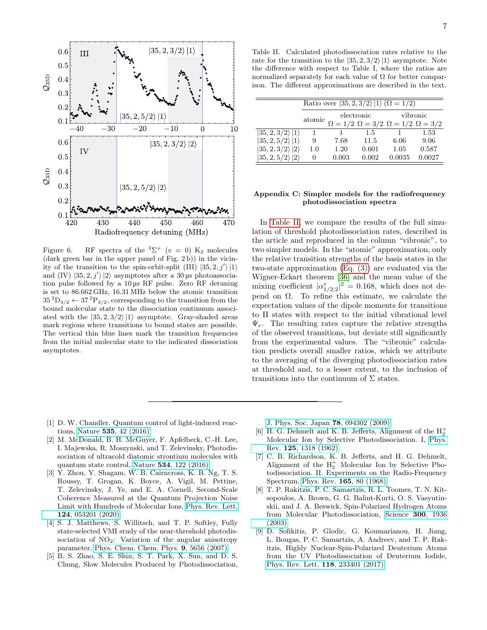

<span id="page-6-8"></span>Figure 6. RF spectra of the  ${}^{3}\Sigma^{+}$  ( $v = 0$ ) K<sub>2</sub> molecules (dark green bar in the upper panel of Fig. 2 b)) in the vicinity of the transition to the spin-orbit-split (III)  $|35, 2, j'\rangle |1\rangle$ and (IV)  $|35, 2, j'\rangle |2\rangle$  asymptotes after a 30 us photoassociation pulse followed by a 10 µs RF pulse. Zero RF detuning is set to 86.662 GHz, 16.31 MHz below the atomic transition  $35^{2}D_{3/2} \leftarrow 37^{2}P_{3/2}$ , corresponding to the transition from the bound molecular state to the dissociation continuum associated with the  $|35, 2, 3/2\rangle |1\rangle$  asymptote. Gray-shaded areas mark regions where transitions to bound states are possible. The vertical thin blue lines mark the transition frequencies from the initial molecular state to the indicated dissociation asymptotes.

<span id="page-6-9"></span>Table II. Calculated photodissociation rates relative to the rate for the transition to the  $|35, 2, 3/2\rangle |1\rangle$  asymptote. Note the difference with respect to Table I, where the ratios are normalized separately for each value of  $\Omega$  for better comparison. The different approximations are described in the text.

|                                | Ratio over $ 35, 2, 3/2\rangle  1\rangle (\Omega = 1/2)$ |            |                                                       |          |        |  |  |  |
|--------------------------------|----------------------------------------------------------|------------|-------------------------------------------------------|----------|--------|--|--|--|
|                                | atomic                                                   | electronic |                                                       | vibronic |        |  |  |  |
|                                |                                                          |            | $\Omega = 1/2 \Omega = 3/2 \Omega = 1/2 \Omega = 3/2$ |          |        |  |  |  |
| $\ket{35,2,3/2}\ket{1}$        | 1                                                        | 1          | 1.5                                                   |          | 1.53   |  |  |  |
| $ 35, 2, 5/2\rangle  1\rangle$ | 9                                                        | 7.68       | 11.5                                                  | 6.06     | 9.06   |  |  |  |
| $ 35,2,3/2\rangle 2\rangle$    | 1.0                                                      | 1.20       | 0.601                                                 | 1.05     | 0.587  |  |  |  |
| $ 35,2,5/2\rangle 2\rangle$    | 0                                                        | 0.003      | 0.002                                                 | 0.0035   | 0.0027 |  |  |  |

### Appendix C: Simpler models for the radiofrequency photodissociation spectra

In [Table II,](#page-6-9) we compare the results of the full simulation of threshold photodissociation rates, described in the article and reproduced in the column "vibronic", to two simpler models. In the "atomic" approximation, only the relative transition strengths of the basis states in the two-state approximation [\(Eq. \(3\)\)](#page-1-2) are evaluated via the Wigner-Eckart theorem [\[36\]](#page-7-22) and the mean value of the mixing coefficient  $|\alpha^e_{1/2;2}|^2 = 0.168$ , which does not depend on Ω. To refine this estimate, we calculate the expectation values of the dipole moments for transitions to Π states with respect to the initial vibrational level  $\Psi_e$ . The resulting rates capture the relative strengths of the observed transitions, but deviate still significantly from the experimental values. The "vibronic" calculation predicts overall smaller ratios, which we attribute to the averaging of the diverging photodissociation rates at threshold and, to a lesser extent, to the inclusion of transitions into the continuum of  $\Sigma$  states.

- <span id="page-6-0"></span>[1] D. W. Chandler, Quantum control of light-induced reactions, Nature 535[, 42 \(2016\).](https://doi.org/10.1038/535042a)
- [2] M. McDonald, B. H. McGuyer, F. Apfelbeck, C.-H. Lee, I. Majewska, R. Moszynski, and T. Zelevinsky, Photodissociation of ultracold diatomic strontium molecules with quantum state control, Nature 534[, 122 \(2016\).](https://doi.org/10.1038/nature18314)
- <span id="page-6-1"></span>[3] Y. Zhou, Y. Shagam, W. B. Cairncross, K. B. Ng, T. S. Roussy, T. Grogan, K. Boyce, A. Vigil, M. Pettine, T. Zelevinsky, J. Ye, and E. A. Cornell, Second-Scale Coherence Measured at the Quantum Projection Noise Limit with Hundreds of Molecular Ions, [Phys. Rev. Lett.](https://doi.org/10.1103/PhysRevLett.124.053201) 124[, 053201 \(2020\).](https://doi.org/10.1103/PhysRevLett.124.053201)
- <span id="page-6-2"></span>[4] S. J. Matthews, S. Willitsch, and T. P. Softley, Fully state-selected VMI study of the near-threshold photodissociation of  $NO<sub>2</sub>$ : Variation of the angular anisotropy parameter, [Phys. Chem. Chem. Phys.](https://doi.org/10.1039/b706428d) 9, 5656 (2007).
- <span id="page-6-3"></span>[5] B. S. Zhao, S. E. Shin, S. T. Park, X. Sun, and D. S. Chung, Slow Molecules Produced by Photodissociation,

[J. Phys. Soc. Japan](https://doi.org/10.1143/JPSJ.78.094302) 78, 094302 (2009).

- <span id="page-6-4"></span> $[6]$  H. G. Dehmelt and K. B. Jefferts, Alignment of the  $\rm H_2^+$ Molecular Ion by Selective Photodissociation. I, [Phys.](https://doi.org/10.1103/PhysRev.125.1318) Rev. 125[, 1318 \(1962\).](https://doi.org/10.1103/PhysRev.125.1318)
- <span id="page-6-5"></span>[7] C. B. Richardson, K. B. Jefferts, and H. G. Dehmelt, Alignment of the  $H_2^+$  Molecular Ion by Selective Photodissociation. II. Experiments on the Radio-Frequency Spectrum, Phys. Rev. 165[, 80 \(1968\).](https://doi.org/10.1103/PhysRev.165.80)
- <span id="page-6-6"></span>[8] T. P. Rakitzis, P. C. Samartzis, R. L. Toomes, T. N. Kitsopoulos, A. Brown, G. G. Balint-Kurti, O. S. Vasyutinskii, and J. A. Beswick, Spin-Polarized Hydrogen Atoms from Molecular Photodissociation, [Science](https://doi.org/10.1126/science.1084809) 300, 1936 [\(2003\).](https://doi.org/10.1126/science.1084809)
- <span id="page-6-7"></span>[9] D. Sofikitis, P. Glodic, G. Koumarianou, H. Jiang, L. Bougas, P. C. Samartzis, A. Andreev, and T. P. Rakitzis, Highly Nuclear-Spin-Polarized Deuterium Atoms from the UV Photodissociation of Deuterium Iodide, [Phys. Rev. Lett.](https://doi.org/10.1103/PhysRevLett.118.233401) 118, 233401 (2017).